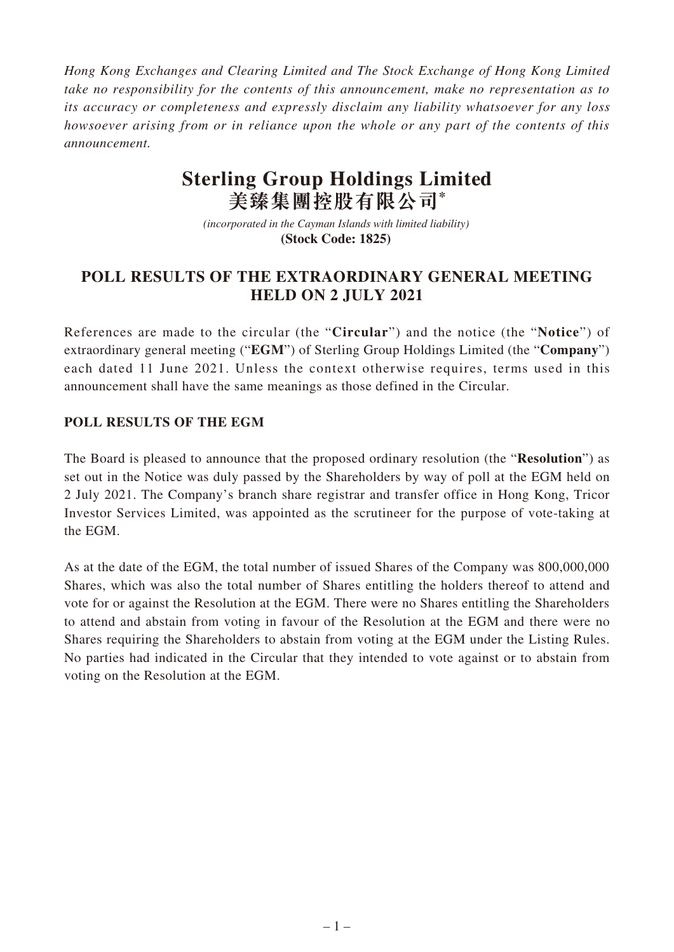*Hong Kong Exchanges and Clearing Limited and The Stock Exchange of Hong Kong Limited take no responsibility for the contents of this announcement, make no representation as to its accuracy or completeness and expressly disclaim any liability whatsoever for any loss howsoever arising from or in reliance upon the whole or any part of the contents of this announcement.*

## **Sterling Group Holdings Limited 美臻集團控股有限公司\***

*(incorporated in the Cayman Islands with limited liability)*  **(Stock Code: 1825)** 

## **POLL RESULTS OF THE EXTRAORDINARY GENERAL MEETING HELD ON 2 JULY 2021**

References are made to the circular (the "**Circular**") and the notice (the "**Notice**") of extraordinary general meeting ("**EGM**") of Sterling Group Holdings Limited (the "**Company**") each dated 11 June 2021. Unless the context otherwise requires, terms used in this announcement shall have the same meanings as those defined in the Circular.

## **POLL RESULTS OF THE EGM**

The Board is pleased to announce that the proposed ordinary resolution (the "**Resolution**") as set out in the Notice was duly passed by the Shareholders by way of poll at the EGM held on 2 July 2021. The Company's branch share registrar and transfer office in Hong Kong, Tricor Investor Services Limited, was appointed as the scrutineer for the purpose of vote-taking at the EGM.

As at the date of the EGM, the total number of issued Shares of the Company was 800,000,000 Shares, which was also the total number of Shares entitling the holders thereof to attend and vote for or against the Resolution at the EGM. There were no Shares entitling the Shareholders to attend and abstain from voting in favour of the Resolution at the EGM and there were no Shares requiring the Shareholders to abstain from voting at the EGM under the Listing Rules. No parties had indicated in the Circular that they intended to vote against or to abstain from voting on the Resolution at the EGM.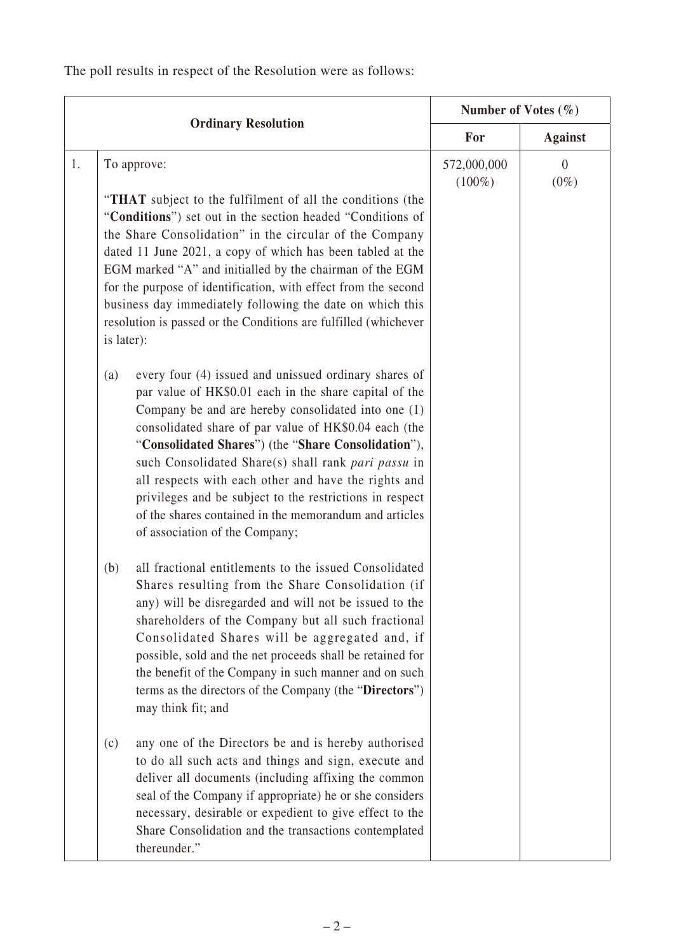The poll results in respect of the Resolution were as follows:

| <b>Ordinary Resolution</b> |                                                                                                                                                                                                                                                                                                                                                                                                                                                                                                                                                                      | Number of Votes $(\% )$  |                     |
|----------------------------|----------------------------------------------------------------------------------------------------------------------------------------------------------------------------------------------------------------------------------------------------------------------------------------------------------------------------------------------------------------------------------------------------------------------------------------------------------------------------------------------------------------------------------------------------------------------|--------------------------|---------------------|
|                            |                                                                                                                                                                                                                                                                                                                                                                                                                                                                                                                                                                      | For                      | <b>Against</b>      |
| 1.                         | To approve:<br>"THAT subject to the fulfilment of all the conditions (the<br>"Conditions") set out in the section headed "Conditions of<br>the Share Consolidation" in the circular of the Company<br>dated 11 June 2021, a copy of which has been tabled at the<br>EGM marked "A" and initialled by the chairman of the EGM<br>for the purpose of identification, with effect from the second<br>business day immediately following the date on which this<br>resolution is passed or the Conditions are fulfilled (whichever<br>is later):                         | 572,000,000<br>$(100\%)$ | $\theta$<br>$(0\%)$ |
|                            | every four (4) issued and unissued ordinary shares of<br>(a)<br>par value of HK\$0.01 each in the share capital of the<br>Company be and are hereby consolidated into one (1)<br>consolidated share of par value of HK\$0.04 each (the<br>"Consolidated Shares") (the "Share Consolidation"),<br>such Consolidated Share(s) shall rank pari passu in<br>all respects with each other and have the rights and<br>privileges and be subject to the restrictions in respect<br>of the shares contained in the memorandum and articles<br>of association of the Company; |                          |                     |
|                            | all fractional entitlements to the issued Consolidated<br>(b)<br>Shares resulting from the Share Consolidation (if<br>any) will be disregarded and will not be issued to the<br>shareholders of the Company but all such fractional<br>Consolidated Shares will be aggregated and, if<br>possible, sold and the net proceeds shall be retained for<br>the benefit of the Company in such manner and on such<br>terms as the directors of the Company (the "Directors")<br>may think fit; and                                                                         |                          |                     |
|                            | any one of the Directors be and is hereby authorised<br>(c)<br>to do all such acts and things and sign, execute and<br>deliver all documents (including affixing the common<br>seal of the Company if appropriate) he or she considers<br>necessary, desirable or expedient to give effect to the<br>Share Consolidation and the transactions contemplated<br>thereunder."                                                                                                                                                                                           |                          |                     |